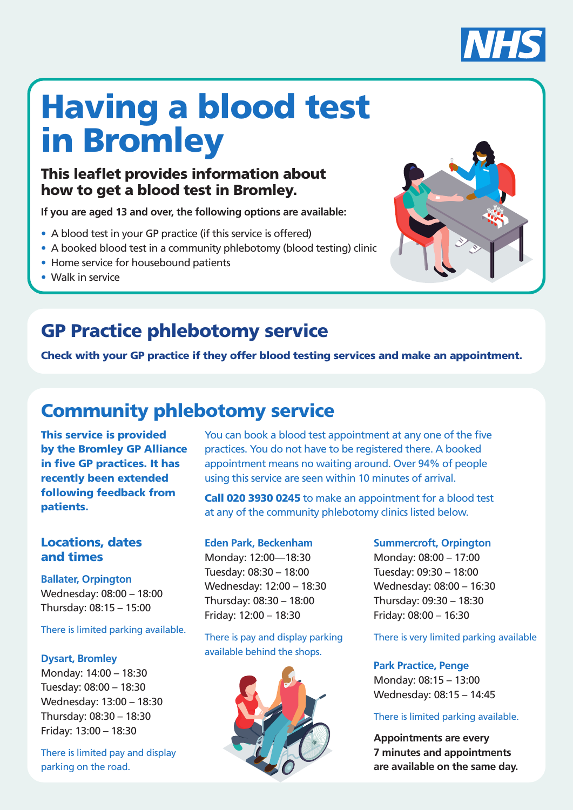

# Having a blood test in Bromley

### This leaflet provides information about how to get a blood test in Bromley.

**If you are aged 13 and over, the following options are available:** 

- A blood test in your GP practice (if this service is offered)
- A booked blood test in a community phlebotomy (blood testing) clinic
- Home service for housebound patients
- Walk in service



### GP Practice phlebotomy service

Check with your GP practice if they offer blood testing services and make an appointment.

### Community phlebotomy service

This service is provided by the Bromley GP Alliance in five GP practices. It has recently been extended following feedback from patients.

### Locations, dates and times

**Ballater, Orpington** Wednesday: 08:00 – 18:00 Thursday: 08:15 – 15:00

#### There is limited parking available.

#### **Dysart, Bromley**

Monday: 14:00 – 18:30 Tuesday: 08:00 – 18:30 Wednesday: 13:00 – 18:30 Thursday: 08:30 – 18:30 Friday: 13:00 – 18:30

There is limited pay and display parking on the road.

You can book a blood test appointment at any one of the five practices. You do not have to be registered there. A booked appointment means no waiting around. Over 94% of people using this service are seen within 10 minutes of arrival.

Call 020 3930 0245 to make an appointment for a blood test at any of the community phlebotomy clinics listed below.

#### **Eden Park, Beckenham**

Monday: 12:00—18:30 Tuesday: 08:30 – 18:00 Wednesday: 12:00 – 18:30 Thursday: 08:30 – 18:00 Friday: 12:00 – 18:30

There is pay and display parking available behind the shops.



#### **Summercroft, Orpington**

Monday: 08:00 – 17:00 Tuesday: 09:30 – 18:00 Wednesday: 08:00 – 16:30 Thursday: 09:30 – 18:30 Friday: 08:00 – 16:30

There is very limited parking available

**Park Practice, Penge** Monday: 08:15 – 13:00 Wednesday: 08:15 – 14:45

#### There is limited parking available.

**Appointments are every 7 minutes and appointments are available on the same day.**